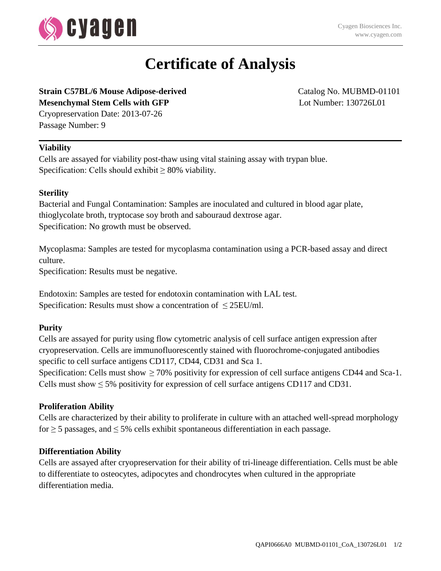

# **Certificate of Analysis**

# **Strain C57BL/6 Mouse Adipose-derived** Catalog No. MUBMD-01101 **Mesenchymal Stem Cells with GFP** Lot Number: 130726L01

Cryopreservation Date: 2013-07-26 Passage Number: 9

# **Viability**

Cells are assayed for viability post-thaw using vital staining assay with trypan blue. Specification: Cells should exhibit  $\geq 80\%$  viability.

# **Sterility**

Bacterial and Fungal Contamination: Samples are inoculated and cultured in blood agar plate, thioglycolate broth, tryptocase soy broth and sabouraud dextrose agar. Specification: No growth must be observed.

Mycoplasma: Samples are tested for mycoplasma contamination using a PCR-based assay and direct culture.

Specification: Results must be negative.

Endotoxin: Samples are tested for endotoxin contamination with LAL test. Specification: Results must show a concentration of  $\leq$  25EU/ml.

# **Purity**

Cells are assayed for purity using flow cytometric analysis of cell surface antigen expression after cryopreservation. Cells are immunofluorescently stained with fluorochrome-conjugated antibodies specific to cell surface antigens CD117, CD44, CD31 and Sca 1.

Specification: Cells must show  $\geq 70\%$  positivity for expression of cell surface antigens CD44 and Sca-1. Cells must show  $\leq 5\%$  positivity for expression of cell surface antigens CD117 and CD31.

### **Proliferation Ability**

Cells are characterized by their ability to proliferate in culture with an attached well-spread morphology for  $\geq$  5 passages, and  $\leq$  5% cells exhibit spontaneous differentiation in each passage.

### **Differentiation Ability**

Cells are assayed after cryopreservation for their ability of tri-lineage differentiation. Cells must be able to differentiate to osteocytes, adipocytes and chondrocytes when cultured in the appropriate differentiation media.